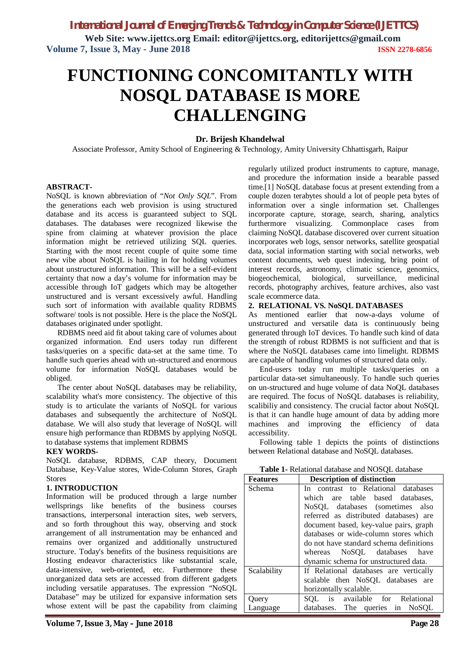**Web Site: www.ijettcs.org Email: editor@ijettcs.org, [editorijettcs@gmail.com](mailto:editorijettcs@gmail.com)  Volume 7, Issue 3, May - June 2018 ISSN 2278-6856**

# **FUNCTIONING CONCOMITANTLY WITH NOSQL DATABASE IS MORE CHALLENGING**

### **Dr. Brijesh Khandelwal**

Associate Professor, Amity School of Engineering & Technology, Amity University Chhattisgarh, Raipur

#### **ABSTRACT-**

NoSQL is known abbreviation of "*Not Only SQL*". From the generations each web provision is using structured database and its access is guaranteed subject to SQL databases. The databases were recognized likewise the spine from claiming at whatever provision the place information might be retrieved utilizing SQL queries. Starting with the most recent couple of quite some time new vibe about NoSQL is hailing in for holding volumes about unstructured information. This will be a self-evident certainty that now a day's volume for information may be accessible through IoT gadgets which may be altogether unstructured and is versant excessively awful. Handling such sort of information with available quality RDBMS software/ tools is not possible. Here is the place the NoSQL databases originated under spotlight.

RDBMS need aid fit about taking care of volumes about organized information. End users today run different tasks/queries on a specific data-set at the same time. To handle such queries ahead with un-structured and enormous volume for information NoSQL databases would be obliged.

The center about NoSQL databases may be reliability, scalability what's more consistency. The objective of this study is to articulate the variants of NoSQL for various databases and subsequently the architecture of NoSQL database. We will also study that leverage of NoSQL will ensure high performance than RDBMS by applying NoSQL to database systems that implement RDBMS

#### **KEY WORDS-**

NoSQL database, RDBMS, CAP theory, Document Database, Key-Value stores, Wide-Column Stores, Graph Stores

#### **1. INTRODUCTION**

Information will be produced through a large number wellsprings like benefits of the business courses transactions, interpersonal interaction sites, web servers, and so forth throughout this way, observing and stock arrangement of all instrumentation may be enhanced and remains over organized and additionally unstructured structure. Today's benefits of the business requisitions are Hosting endeavor characteristics like substantial scale, data-intensive, web-oriented, etc. Furthermore these unorganized data sets are accessed from different gadgets including versatile apparatuses. The expression "NoSQL Database" may be utilized for expansive information sets whose extent will be past the capability from claiming

regularly utilized product instruments to capture, manage, and procedure the information inside a bearable passed time.[1] NoSQL database focus at present extending from a couple dozen terabytes should a lot of people peta bytes of information over a single information set. Challenges incorporate capture, storage, search, sharing, analytics furthermore visualizing. Commonplace cases from claiming NoSQL database discovered over current situation incorporates web logs, sensor networks, satellite geospatial data, social information starting with social networks, web content documents, web quest indexing, bring point of interest records, astronomy, climatic science, genomics, biogeochemical, biological, surveillance, medicinal records, photography archives, feature archives, also vast scale ecommerce data.

### **2. RELATIONAL VS. NoSQL DATABASES**

As mentioned earlier that now-a-days volume of unstructured and versatile data is continuously being generated through IoT devices. To handle such kind of data the strength of robust RDBMS is not sufficient and that is where the NoSQL databases came into limelight. RDBMS are capable of handling volumes of structured data only.

End-users today run multiple tasks/queries on a particular data-set simultaneously. To handle such queries on un-structured and huge volume of data NoQL databases are required. The focus of NoSQL databases is reliability, scalibiliy and consistency. The crucial factor about NoSQL is that it can handle huge amount of data by adding more machines and improving the efficiency of data accessibility.

Following table 1 depicts the points of distinctions between Relational database and NoSQL databases.

**Table 1-** Relational database and NOSQL database

| <b>Features</b> | <b>Description of distinction</b>       |
|-----------------|-----------------------------------------|
| Schema          | In contrast to Relational databases     |
|                 | are table based databases,<br>which     |
|                 | NoSOL databases (sometimes also         |
|                 | referred as distributed databases) are  |
|                 | document based, key-value pairs, graph  |
|                 | databases or wide-column stores which   |
|                 | do not have standard schema definitions |
|                 | whereas NoSQL databases have            |
|                 | dynamic schema for unstructured data.   |
| Scalability     | If Relational databases are vertically  |
|                 | scalable then NoSQL databases are       |
|                 | horizontally scalable.                  |
| Query           | SQL is available for Relational         |
| Language        | databases. The queries in NoSQL         |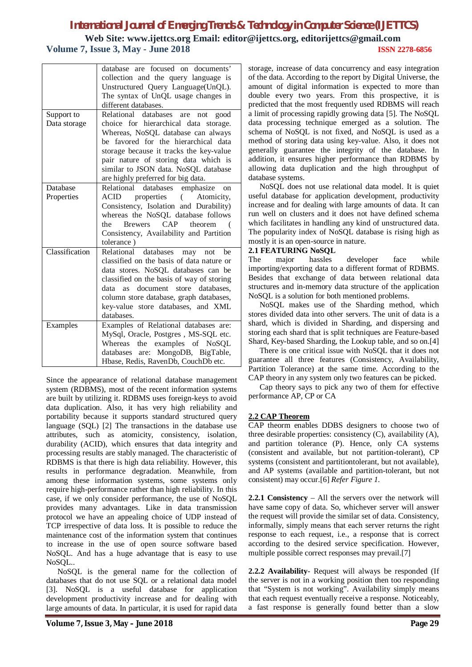# *International Journal of Emerging Trends & Technology in Computer Science (IJETTCS)* **Web Site: www.ijettcs.org Email: editor@ijettcs.org, [editorijettcs@gmail.com](mailto:editorijettcs@gmail.com)  Volume 7, Issue 3, May - June 2018 ISSN 2278-6856**

|                | database are focused on documents'<br>collection and the query language is<br>Unstructured Query Language(UnQL).<br>The syntax of UnQL usage changes in<br>different databases.                                                                                                         |
|----------------|-----------------------------------------------------------------------------------------------------------------------------------------------------------------------------------------------------------------------------------------------------------------------------------------|
| Support to     | Relational databases<br>good<br>are<br>not                                                                                                                                                                                                                                              |
| Data storage   | choice for hierarchical data<br>storage.<br>Whereas, NoSQL database can always<br>be favored for the hierarchical data<br>storage because it tracks the key-value<br>pair nature of storing data which is<br>similar to JSON data. NoSQL database<br>are highly preferred for big data. |
| Database       | Relational<br>emphasize<br>databases<br><sub>on</sub>                                                                                                                                                                                                                                   |
|                |                                                                                                                                                                                                                                                                                         |
| Properties     | <b>ACID</b><br>properties<br>Atomicity,<br>(<br>Consistency, Isolation and Durability)<br>whereas the NoSQL database follows<br>CAP<br><b>Brewers</b><br>theorem<br>the<br>Consistency, Availability and Partition<br>tolerance)                                                        |
| Classification | Relational<br>databases may<br>he<br>not                                                                                                                                                                                                                                                |
|                | classified on the basis of data nature or<br>data stores. NoSQL databases can be<br>classified on the basis of way of storing<br>document store databases.<br>data<br>as -<br>column store database, graph databases,<br>key-value store databases, and XML<br>databases.               |
| Examples       | Examples of Relational databases are:                                                                                                                                                                                                                                                   |
|                | MySql, Oracle, Postgres, MS-SQL etc.<br>examples of NoSQL<br>the<br>Whereas<br>databases are: MongoDB, BigTable,                                                                                                                                                                        |
|                | Hbase, Redis, RavenDb, CouchDb etc.                                                                                                                                                                                                                                                     |
|                |                                                                                                                                                                                                                                                                                         |

Since the appearance of relational database management system (RDBMS), most of the recent information systems are built by utilizing it. RDBMS uses foreign-keys to avoid data duplication. Also, it has very high reliability and portability because it supports standard structured query language (SQL) [2] The transactions in the database use attributes, such as atomicity, consistency, isolation, durability (ACID), which ensures that data integrity and processing results are stably managed. The characteristic of RDBMS is that there is high data reliability. However, this results in performance degradation. Meanwhile, from among these information systems, some systems only require high-performance rather than high reliability. In this case, if we only consider performance, the use of NoSQL provides many advantages. Like in data transmission protocol we have an appealing choice of UDP instead of TCP irrespective of data loss. It is possible to reduce the maintenance cost of the information system that continues to increase in the use of open source software based NoSQL. And has a huge advantage that is easy to use NoSQL..

NoSQL is the general name for the collection of databases that do not use SQL or a relational data model [3]. NoSQL is a useful database for application development productivity increase and for dealing with large amounts of data. In particular, it is used for rapid data

schema of NoSQL is not fixed, and NoSQL is used as a method of storing data using key-value. Also, it does not generally guarantee the integrity of the database. In addition, it ensures higher performance than RDBMS by allowing data duplication and the high throughput of database systems. NoSQL does not use relational data model. It is quiet useful database for application development, productivity increase and for dealing with large amounts of data. It can run well on clusters and it does not have defined schema which facilitates in handling any kind of unstructured data. The popularity index of NoSQL database is rising high as mostly it is an open-source in nature.

# **2.1 FEATURING NoSQL**

The major hassles developer face while importing/exporting data to a different format of RDBMS. Besides that exchange of data between relational data structures and in-memory data structure of the application NoSQL is a solution for both mentioned problems.

storage, increase of data concurrency and easy integration of the data. According to the report by Digital Universe, the amount of digital information is expected to more than double every two years. From this prospective, it is predicted that the most frequently used RDBMS will reach a limit of processing rapidly growing data [5]. The NoSQL data processing technique emerged as a solution. The

NoSQL makes use of the Sharding method, which stores divided data into other servers. The unit of data is a shard, which is divided in Sharding, and dispersing and storing each shard that is split techniques are Feature-based Shard, Key-based Sharding, the Lookup table, and so on.[4]

There is one critical issue with NoSQL that it does not guarantee all three features (Consistency, Availability, Partition Tolerance) at the same time. According to the CAP theory in any system only two features can be picked.

Cap theory says to pick any two of them for effective performance AP, CP or CA

# **2.2 CAP Theorem**

CAP theorm enables DDBS designers to choose two of three desirable properties: consistency (C), availability (A), and partition tolerance (P). Hence, only CA systems (consistent and available, but not partition-tolerant), CP systems (consistent and partitiontolerant, but not available), and AP systems (available and partition-tolerant, but not consistent) may occur.[6] *Refer Figure 1.*

**2.2.1 Consistency** – All the servers over the network will have same copy of data. So, whichever server will answer the request will provide the similar set of data. Consistency, informally, simply means that each server returns the right response to each request, i.e., a response that is correct according to the desired service specification. However, multiple possible correct responses may prevail.[7]

**2.2.2 Availability**- Request will always be responded (If the server is not in a working position then too responding that "System is not working". Availability simply means that each request eventually receive a response. Noticeably, a fast response is generally found better than a slow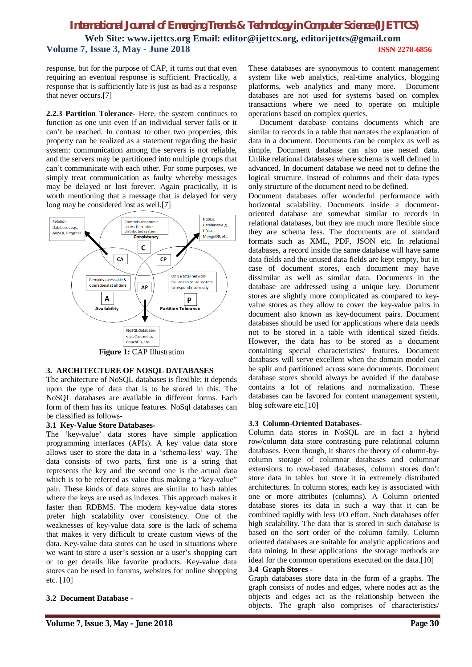# *International Journal of Emerging Trends & Technology in Computer Science (IJETTCS)* **Web Site: www.ijettcs.org Email: editor@ijettcs.org, [editorijettcs@gmail.com](mailto:editorijettcs@gmail.com)  Volume 7, Issue 3, May - June 2018 ISSN 2278-6856**

response, but for the purpose of CAP, it turns out that even requiring an eventual response is sufficient. Practically, a response that is sufficiently late is just as bad as a response that never occurs.[7]

**2.2.3 Partition Tolerance**- Here, the system continues to function as one unit even if an individual server fails or it can't be reached. In contrast to other two properties, this property can be realized as a statement regarding the basic system: communication among the servers is not reliable, and the servers may be partitioned into multiple groups that can't communicate with each other. For some purposes, we simply treat communication as faulty whereby messages may be delayed or lost forever. Again practically, it is worth mentioning that a message that is delayed for very long may be considered lost as well.[7]



# **3. ARCHITECTURE OF NOSQL DATABASES**

The architecture of NoSQL databases is flexible; it depends upon the type of data that is to be stored in this. The NoSQL databases are available in different forms. Each form of them has its unique features. NoSql databases can be classified as follows-

### **3.1 Key-Value Store Databases-**

The 'key-value' data stores have simple application programming interfaces (APIs). A key value data store allows user to store the data in a 'schema-less' way. The data consists of two parts, first one is a string that represents the key and the second one is the actual data which is to be referred as value thus making a "key-value" pair. These kinds of data stores are similar to hash tables where the keys are used as indexes. This approach makes it faster than RDBMS. The modern key-value data stores prefer high scalability over consistency. One of the weaknesses of key-value data sore is the lack of schema that makes it very difficult to create custom views of the data. Key-value data stores can be used in situations where we want to store a user's session or a user's shopping cart or to get details like favorite products. Key-value data stores can be used in forums, websites for online shopping etc. [10]

# **3.2 Document Database -**

These databases are synonymous to content management system like web analytics, real-time analytics, blogging platforms, web analytics and many more. Document databases are not used for systems based on complex transactions where we need to operate on multiple operations based on complex queries.

Document database contains documents which are similar to records in a table that narrates the explanation of data in a document. Documents can be complex as well as simple. Document database can also use nested data. Unlike relational databases where schema is well defined in advanced. In document database we need not to define the logical structure. Instead of columns and their data types only structure of the document need to be defined.

Document databases offer wonderful performance with horizontal scalability. Documents inside a documentoriented database are somewhat similar to records in relational databases, but they are much more flexible since they are schema less. The documents are of standard formats such as XML, PDF, JSON etc. In relational databases, a record inside the same database will have same data fields and the unused data fields are kept empty, but in case of document stores, each document may have dissimilar as well as similar data. Documents in the database are addressed using a unique key. Document stores are slightly more complicated as compared to keyvalue stores as they allow to cover the key-value pairs in document also known as key-document pairs. Document databases should be used for applications where data needs not to be stored in a table with identical sized fields. However, the data has to be stored as a document containing special characteristics/ features. Document databases will serve excellent when the domain model can be split and partitioned across some documents. Document database stores should always be avoided if the database contains a lot of relations and normalization. These databases can be favored for content management system, blog software etc.[10]

# **3.3 Column-Oriented Databases-**

Column data stores in NoSQL are in fact a hybrid row/column data store contrasting pure relational column databases. Even though, it shares the theory of column-bycolumn storage of columnar databases and columnar extensions to row-based databases, column stores don't store data in tables but store it in extremely distributed architectures. In column stores, each key is associated with one or more attributes (columns). A Column oriented database stores its data in such a way that it can be combined rapidly with less I/O effort. Such databases offer high scalability. The data that is stored in such database is based on the sort order of the column family. Column oriented databases are suitable for analytic applications and data mining. In these applications the storage methods are ideal for the common operations executed on the data.<sup>[10]</sup>

### **3.4 Graph Stores -**

Graph databases store data in the form of a graphs. The graph consists of nodes and edges, where nodes act as the objects and edges act as the relationship between the objects. The graph also comprises of characteristics/